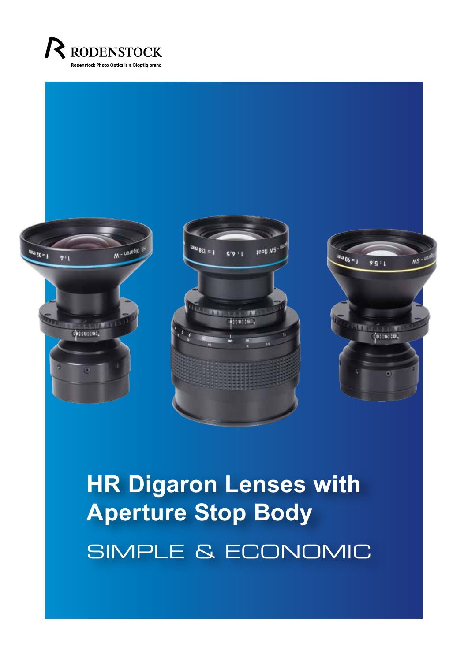



## **HR Digaron Lenses with Aperture Stop Body**  SIMPLE & ECONOMIC